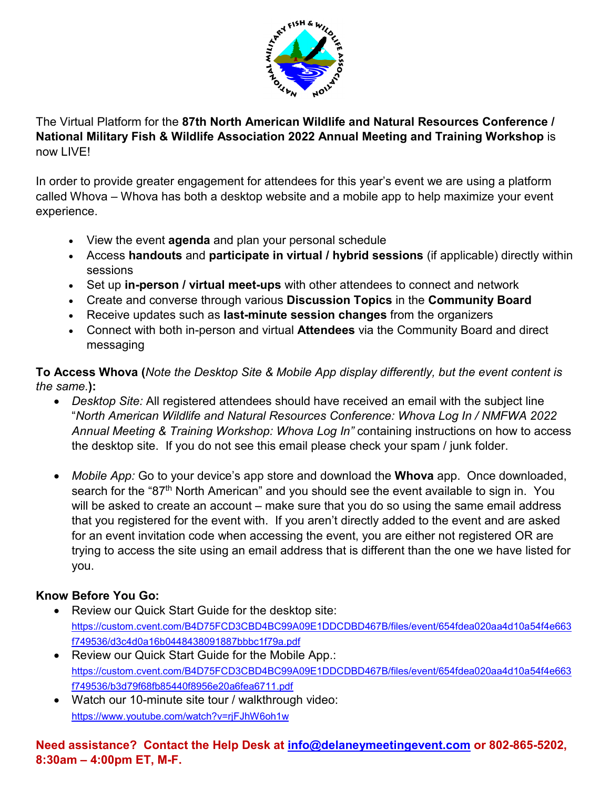

The Virtual Platform for the **87th North American Wildlife and Natural Resources Conference / National Military Fish & Wildlife Association 2022 Annual Meeting and Training Workshop** is now LIVE!

In order to provide greater engagement for attendees for this year's event we are using a platform called Whova – Whova has both a desktop website and a mobile app to help maximize your event experience.

- View the event **agenda** and plan your personal schedule
- Access **handouts** and **participate in virtual / hybrid sessions** (if applicable) directly within sessions
- Set up **in-person / virtual meet-ups** with other attendees to connect and network
- Create and converse through various **Discussion Topics** in the **Community Board**
- Receive updates such as **last-minute session changes** from the organizers
- Connect with both in-person and virtual **Attendees** via the Community Board and direct messaging

**To Access Whova (***Note the Desktop Site & Mobile App display differently, but the event content is the same.***):**

- *Desktop Site:* All registered attendees should have received an email with the subject line "*North American Wildlife and Natural Resources Conference: Whova Log In / NMFWA 2022 Annual Meeting & Training Workshop: Whova Log In"* containing instructions on how to access the desktop site. If you do not see this email please check your spam / junk folder.
- *Mobile App:* Go to your device's app store and download the **Whova** app. Once downloaded, search for the "87<sup>th</sup> North American" and you should see the event available to sign in. You will be asked to create an account – make sure that you do so using the same email address that you registered for the event with. If you aren't directly added to the event and are asked for an event invitation code when accessing the event, you are either not registered OR are trying to access the site using an email address that is different than the one we have listed for you.

## **Know Before You Go:**

- Review our Quick Start Guide for the desktop site: [https://custom.cvent.com/B4D75FCD3CBD4BC99A09E1DDCDBD467B/files/event/654fdea020aa4d10a54f4e663](https://custom.cvent.com/B4D75FCD3CBD4BC99A09E1DDCDBD467B/files/event/654fdea020aa4d10a54f4e663f749536/d3c4d0a16b0448438091887bbbc1f79a.pdf) [f749536/d3c4d0a16b0448438091887bbbc1f79a.pdf](https://custom.cvent.com/B4D75FCD3CBD4BC99A09E1DDCDBD467B/files/event/654fdea020aa4d10a54f4e663f749536/d3c4d0a16b0448438091887bbbc1f79a.pdf)
- Review our Quick Start Guide for the Mobile App.: [https://custom.cvent.com/B4D75FCD3CBD4BC99A09E1DDCDBD467B/files/event/654fdea020aa4d10a54f4e663](https://custom.cvent.com/B4D75FCD3CBD4BC99A09E1DDCDBD467B/files/event/654fdea020aa4d10a54f4e663f749536/b3d79f68fb85440f8956e20a6fea6711.pdf) [f749536/b3d79f68fb85440f8956e20a6fea6711.pdf](https://custom.cvent.com/B4D75FCD3CBD4BC99A09E1DDCDBD467B/files/event/654fdea020aa4d10a54f4e663f749536/b3d79f68fb85440f8956e20a6fea6711.pdf)
- Watch our 10-minute site tour / walkthrough video: <https://www.youtube.com/watch?v=rjFJhW6oh1w>

**Need assistance? Contact the Help Desk at [info@delaneymeetingevent.com](mailto:info@delaneymeetingevent.com) or 802-865-5202, 8:30am – 4:00pm ET, M-F.**